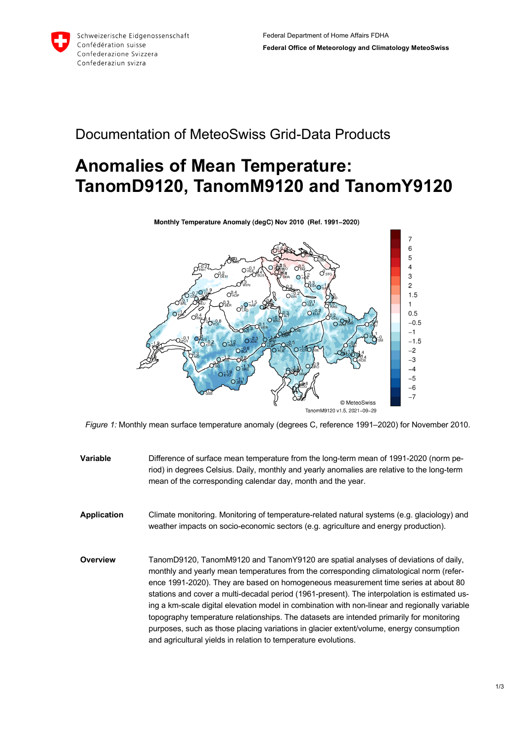

## Documentation of MeteoSwiss Grid-Data Products

## **Anomalies of Mean Temperature: TanomD9120, TanomM9120 and TanomY9120**



Monthly Temperature Anomaly (degC) Nov 2010 (Ref. 1991-2020)

*Figure 1:* Monthly mean surface temperature anomaly (degrees C, reference 1991–2020) for November 2010.

**Variable** Difference of surface mean temperature from the long-term mean of 1991-2020 (norm period) in degrees Celsius. Daily, monthly and yearly anomalies are relative to the long-term mean of the corresponding calendar day, month and the year. **Application** Climate monitoring. Monitoring of temperature-related natural systems (e.g. glaciology) and weather impacts on socio-economic sectors (e.g. agriculture and energy production). **Overview** TanomD9120, TanomM9120 and TanomY9120 are spatial analyses of deviations of daily, monthly and yearly mean temperatures from the corresponding climatological norm (reference 1991-2020). They are based on homogeneous measurement time series at about 80 stations and cover a multi-decadal period (1961-present). The interpolation is estimated using a km-scale digital elevation model in combination with non-linear and regionally variable topography temperature relationships. The datasets are intended primarily for monitoring purposes, such as those placing variations in glacier extent/volume, energy consumption and agricultural yields in relation to temperature evolutions.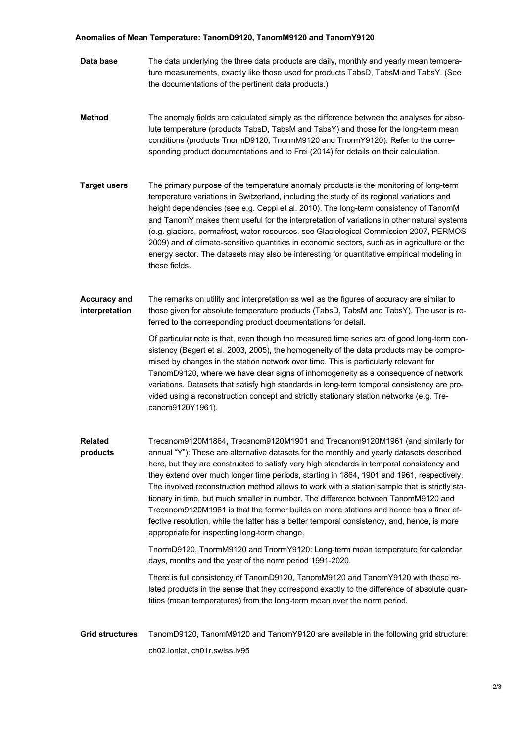## **Anomalies of Mean Temperature: TanomD9120, TanomM9120 and TanomY9120**

- **Data base** The data underlying the three data products are daily, monthly and yearly mean temperature measurements, exactly like those used for products TabsD, TabsM and TabsY. (See the documentations of the pertinent data products.)
- **Method** The anomaly fields are calculated simply as the difference between the analyses for absolute temperature (products TabsD, TabsM and TabsY) and those for the long-term mean conditions (products TnormD9120, TnormM9120 and TnormY9120). Refer to the corresponding product documentations and to Frei (2014) for details on their calculation.
- **Target users** The primary purpose of the temperature anomaly products is the monitoring of long-term temperature variations in Switzerland, including the study of its regional variations and height dependencies (see e.g. Ceppi et al. 2010). The long-term consistency of TanomM and TanomY makes them useful for the interpretation of variations in other natural systems (e.g. glaciers, permafrost, water resources, see Glaciological Commission 2007, PERMOS 2009) and of climate-sensitive quantities in economic sectors, such as in agriculture or the energy sector. The datasets may also be interesting for quantitative empirical modeling in these fields.

## **Accuracy and interpretation** The remarks on utility and interpretation as well as the figures of accuracy are similar to those given for absolute temperature products (TabsD, TabsM and TabsY). The user is referred to the corresponding product documentations for detail.

Of particular note is that, even though the measured time series are of good long-term consistency (Begert et al. 2003, 2005), the homogeneity of the data products may be compromised by changes in the station network over time. This is particularly relevant for TanomD9120, where we have clear signs of inhomogeneity as a consequence of network variations. Datasets that satisfy high standards in long-term temporal consistency are provided using a reconstruction concept and strictly stationary station networks (e.g. Trecanom9120Y1961).

**Related products** Trecanom9120M1864, Trecanom9120M1901 and Trecanom9120M1961 (and similarly for annual "Y"): These are alternative datasets for the monthly and yearly datasets described here, but they are constructed to satisfy very high standards in temporal consistency and they extend over much longer time periods, starting in 1864, 1901 and 1961, respectively. The involved reconstruction method allows to work with a station sample that is strictly stationary in time, but much smaller in number. The difference between TanomM9120 and Trecanom9120M1961 is that the former builds on more stations and hence has a finer effective resolution, while the latter has a better temporal consistency, and, hence, is more appropriate for inspecting long-term change.

> TnormD9120, TnormM9120 and TnormY9120: Long-term mean temperature for calendar days, months and the year of the norm period 1991-2020.

There is full consistency of TanomD9120, TanomM9120 and TanomY9120 with these related products in the sense that they correspond exactly to the difference of absolute quantities (mean temperatures) from the long-term mean over the norm period.

**Grid structures** TanomD9120, TanomM9120 and TanomY9120 are available in the following grid structure: ch02.lonlat, ch01r.swiss.lv95